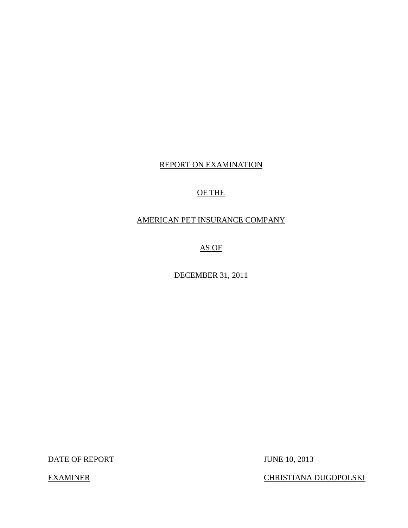## REPORT ON EXAMINATION

# OF THE

## AMERICAN PET INSURANCE COMPANY

AS OF

DECEMBER 31, 2011

DATE OF REPORT JUNE 10, 2013

EXAMINER CHRISTIANA DUGOPOLSKI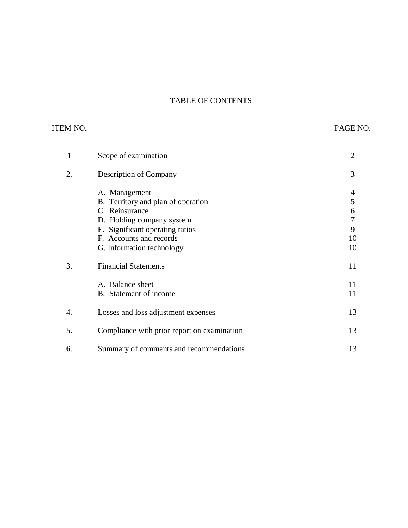# TABLE OF CONTENTS

## ITEM NO. PAGE NO.

| 1  | Scope of examination                                                                                                                                                                          | 2                            |
|----|-----------------------------------------------------------------------------------------------------------------------------------------------------------------------------------------------|------------------------------|
| 2. | Description of Company                                                                                                                                                                        | 3                            |
|    | A. Management<br>B. Territory and plan of operation<br>C. Reinsurance<br>D. Holding company system<br>E. Significant operating ratios<br>F. Accounts and records<br>G. Information technology | 4<br>5<br>6<br>9<br>10<br>10 |
| 3. | <b>Financial Statements</b>                                                                                                                                                                   | 11                           |
|    | A. Balance sheet<br>B. Statement of income                                                                                                                                                    | 11<br>11                     |
| 4. | Losses and loss adjustment expenses                                                                                                                                                           | 13                           |
| 5. | Compliance with prior report on examination                                                                                                                                                   | 13                           |
| 6. | Summary of comments and recommendations                                                                                                                                                       | 13                           |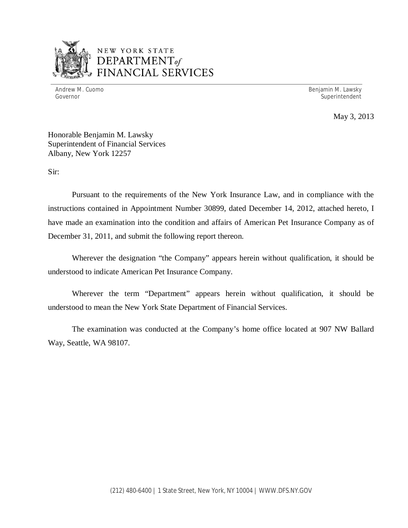

# NEW YORK STATE *DEPARTMENTof*  FINANCIAL SERVICES

Andrew M. Cuomo **Benjamin M. Lawsky** Governor Superintendent Superintendent Superintendent Superintendent Superintendent Superintendent Superintendent

May 3, 2013

Honorable Benjamin M. Lawsky Superintendent of Financial Services Albany, New York 12257

Sir:

Pursuant to the requirements of the New York Insurance Law, and in compliance with the instructions contained in Appointment Number 30899, dated December 14, 2012, attached hereto, I have made an examination into the condition and affairs of American Pet Insurance Company as of December 31, 2011, and submit the following report thereon.

Wherever the designation "the Company" appears herein without qualification, it should be understood to indicate American Pet Insurance Company.

Wherever the term "Department" appears herein without qualification, it should be understood to mean the New York State Department of Financial Services.

The examination was conducted at the Company's home office located at 907 NW Ballard Way, Seattle, WA 98107.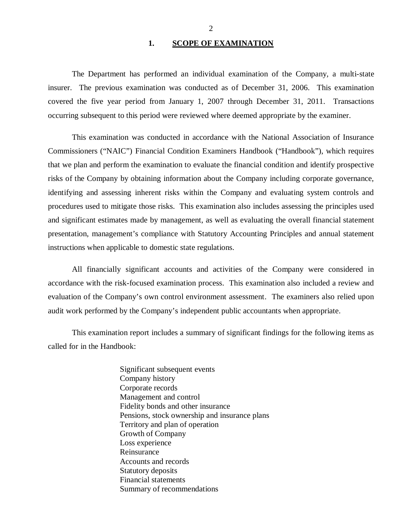## 1. SCOPE OF EXAMINATION

<span id="page-3-0"></span>The Department has performed an individual examination of the Company*,* a multi-state insurer. The previous examination was conducted as of December 31, 2006. This examination covered the five year period from January 1, 2007 through December 31, 2011. Transactions occurring subsequent to this period were reviewed where deemed appropriate by the examiner.

This examination was conducted in accordance with the National Association of Insurance Commissioners ("NAIC") Financial Condition Examiners Handbook ("Handbook"), which requires that we plan and perform the examination to evaluate the financial condition and identify prospective risks of the Company by obtaining information about the Company including corporate governance, identifying and assessing inherent risks within the Company and evaluating system controls and procedures used to mitigate those risks. This examination also includes assessing the principles used and significant estimates made by management, as well as evaluating the overall financial statement presentation, management's compliance with Statutory Accounting Principles and annual statement instructions when applicable to domestic state regulations.

All financially significant accounts and activities of the Company were considered in accordance with the risk-focused examination process. This examination also included a review and evaluation of the Company's own control environment assessment. The examiners also relied upon audit work performed by the Company's independent public accountants when appropriate.

This examination report includes a summary of significant findings for the following items as called for in the Handbook:

> Significant subsequent events Company history Corporate records Management and control Fidelity bonds and other insurance Pensions, stock ownership and insurance plans Territory and plan of operation Growth of Company Loss experience Reinsurance Accounts and records Statutory deposits Financial statements Summary of recommendations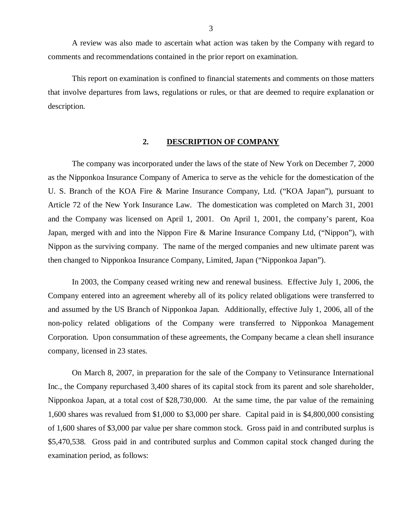<span id="page-4-0"></span>A review was also made to ascertain what action was taken by the Company with regard to comments and recommendations contained in the prior report on examination.

This report on examination is confined to financial statements and comments on those matters that involve departures from laws, regulations or rules, or that are deemed to require explanation or description.

#### **2. DESCRIPTION OF COMPANY**

The company was incorporated under the laws of the state of New York on December 7, 2000 as the Nipponkoa Insurance Company of America to serve as the vehicle for the domestication of the U. S. Branch of the KOA Fire & Marine Insurance Company, Ltd. ("KOA Japan"), pursuant to Article 72 of the New York Insurance Law. The domestication was completed on March 31, 2001 and the Company was licensed on April 1, 2001. On April 1, 2001, the company's parent, Koa Japan, merged with and into the Nippon Fire & Marine Insurance Company Ltd, ("Nippon"), with Nippon as the surviving company. The name of the merged companies and new ultimate parent was then changed to Nipponkoa Insurance Company, Limited, Japan ("Nipponkoa Japan").

In 2003, the Company ceased writing new and renewal business. Effective July 1, 2006, the Company entered into an agreement whereby all of its policy related obligations were transferred to and assumed by the US Branch of Nipponkoa Japan. Additionally, effective July 1, 2006, all of the non-policy related obligations of the Company were transferred to Nipponkoa Management Corporation. Upon consummation of these agreements, the Company became a clean shell insurance company, licensed in 23 states.

On March 8, 2007, in preparation for the sale of the Company to Vetinsurance International Inc., the Company repurchased 3,400 shares of its capital stock from its parent and sole shareholder, Nipponkoa Japan, at a total cost of \$28,730,000. At the same time, the par value of the remaining 1,600 shares was revalued from \$1,000 to \$3,000 per share. Capital paid in is \$4,800,000 consisting of 1,600 shares of \$3,000 par value per share common stock. Gross paid in and contributed surplus is \$5,470,538. Gross paid in and contributed surplus and Common capital stock changed during the examination period, as follows: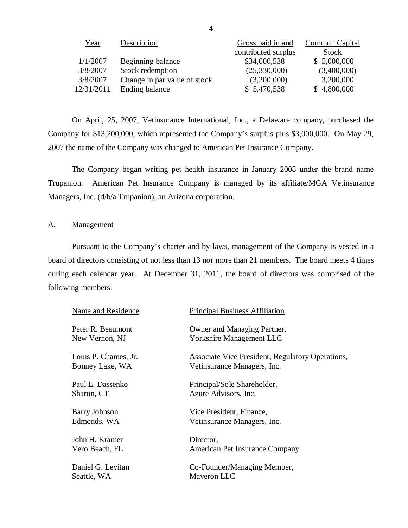| <u>Year</u> | Description                  | Gross paid in and   | <b>Common Capital</b> |
|-------------|------------------------------|---------------------|-----------------------|
|             |                              | contributed surplus | Stock                 |
| 1/1/2007    | Beginning balance            | \$34,000,538        | \$5,000,000           |
| 3/8/2007    | Stock redemption             | (25,330,000)        | (3,400,000)           |
| 3/8/2007    | Change in par value of stock | (3,200,000)         | 3,200,000             |
| 12/31/2011  | Ending balance               | \$5,470,538         | 4,800,000             |

On April, 25, 2007, Vetinsurance International, Inc., a Delaware company, purchased the Company for \$13,200,000, which represented the Company's surplus plus \$3,000,000. On May 29, 2007 the name of the Company was changed to American Pet Insurance Company.

The Company began writing pet health insurance in January 2008 under the brand name Trupanion. American Pet Insurance Company is managed by its affiliate/MGA Vetinsurance Managers, Inc. (d/b/a Trupanion), an Arizona corporation.

## A. Management

Pursuant to the Company's charter and by-laws, management of the Company is vested in a board of directors consisting of not less than 13 nor more than 21 members. The board meets 4 times during each calendar year. At December 31, 2011, the board of directors was comprised of the following members:

| Name and Residence   | <b>Principal Business Affiliation</b>                   |
|----------------------|---------------------------------------------------------|
| Peter R. Beaumont    | Owner and Managing Partner,                             |
| New Vernon, NJ       | <b>Yorkshire Management LLC</b>                         |
| Louis P. Chames, Jr. | <b>Associate Vice President, Regulatory Operations,</b> |
| Bonney Lake, WA      | Vetinsurance Managers, Inc.                             |
| Paul E. Dassenko     | Principal/Sole Shareholder,                             |
| Sharon, CT           | Azure Advisors, Inc.                                    |
| <b>Barry Johnson</b> | Vice President, Finance,                                |
| Edmonds, WA          | Vetinsurance Managers, Inc.                             |
| John H. Kramer       | Director,                                               |
| Vero Beach, FL       | American Pet Insurance Company                          |
| Daniel G. Levitan    | Co-Founder/Managing Member,                             |
| Seattle, WA          | Maveron LLC                                             |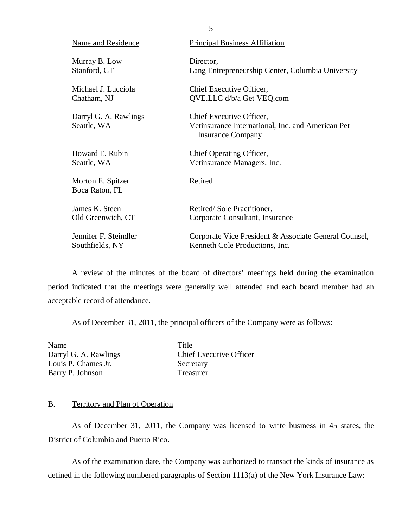<span id="page-6-0"></span>

| Name and Residence                   | <b>Principal Business Affiliation</b>                                                                     |
|--------------------------------------|-----------------------------------------------------------------------------------------------------------|
| Murray B. Low                        | Director,                                                                                                 |
| Stanford, CT                         | Lang Entrepreneurship Center, Columbia University                                                         |
| Michael J. Lucciola                  | Chief Executive Officer,                                                                                  |
| Chatham, NJ                          | QVE.LLC d/b/a Get VEQ.com                                                                                 |
| Darryl G. A. Rawlings<br>Seattle, WA | Chief Executive Officer,<br>Vetinsurance International, Inc. and American Pet<br><b>Insurance Company</b> |
| Howard E. Rubin                      | Chief Operating Officer,                                                                                  |
| Seattle, WA                          | Vetinsurance Managers, Inc.                                                                               |
| Morton E. Spitzer<br>Boca Raton, FL  | Retired                                                                                                   |
| James K. Steen                       | Retired/Sole Practitioner,                                                                                |
| Old Greenwich, CT                    | Corporate Consultant, Insurance                                                                           |
| Jennifer F. Steindler                | Corporate Vice President & Associate General Counsel,                                                     |
| Southfields, NY                      | Kenneth Cole Productions, Inc.                                                                            |

A review of the minutes of the board of directors' meetings held during the examination period indicated that the meetings were generally well attended and each board member had an acceptable record of attendance.

As of December 31, 2011, the principal officers of the Company were as follows:

Name Title Louis P. Chames Jr. Secretary Barry P. Johnson Treasurer

Darryl G. A. Rawlings Chief Executive Officer

## B. Territory and Plan of Operation

As of December 31, 2011, the Company was licensed to write business in 45 states, the District of Columbia and Puerto Rico.

As of the examination date, the Company was authorized to transact the kinds of insurance as defined in the following numbered paragraphs of Section 1113(a) of the New York Insurance Law:

5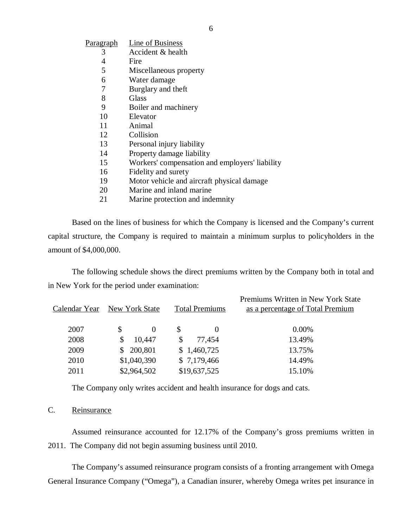| <b>Paragraph</b> | Line of Business                               |
|------------------|------------------------------------------------|
| 3                | Accident & health                              |
| 4                | Fire                                           |
| 5                | Miscellaneous property                         |
| 6                | Water damage                                   |
| 7                | Burglary and theft                             |
| 8                | Glass                                          |
| 9                | Boiler and machinery                           |
| 10               | Elevator                                       |
| 11               | Animal                                         |
| 12               | Collision                                      |
| 13               | Personal injury liability                      |
| 14               | Property damage liability                      |
| 15               | Workers' compensation and employers' liability |
| 16               | Fidelity and surety                            |
| 19               | Motor vehicle and aircraft physical damage     |
| 20               | Marine and inland marine                       |

21 Marine protection and indemnity

Based on the lines of business for which the Company is licensed and the Company's current capital structure, the Company is required to maintain a minimum surplus to policyholders in the amount of \$4,000,000.

The following schedule shows the direct premiums written by the Company both in total and in New York for the period under examination:

| Calendar Year | New York State | <b>Total Premiums</b> | Premiums Written in New York State<br>as a percentage of Total Premium |
|---------------|----------------|-----------------------|------------------------------------------------------------------------|
| 2007          | \$<br>$\theta$ | S                     | $0.00\%$                                                               |
| 2008          | 10,447         | \$.<br>77,454         | 13.49%                                                                 |
| 2009          | \$200,801      | \$1,460,725           | 13.75%                                                                 |
| 2010          | \$1,040,390    | \$7,179,466           | 14.49%                                                                 |
| 2011          | \$2,964,502    | \$19,637,525          | 15.10%                                                                 |

The Company only writes accident and health insurance for dogs and cats.

## C. Reinsurance

Assumed reinsurance accounted for 12.17% of the Company's gross premiums written in 2011. The Company did not begin assuming business until 2010.

The Company's assumed reinsurance program consists of a fronting arrangement with Omega General Insurance Company ("Omega"), a Canadian insurer, whereby Omega writes pet insurance in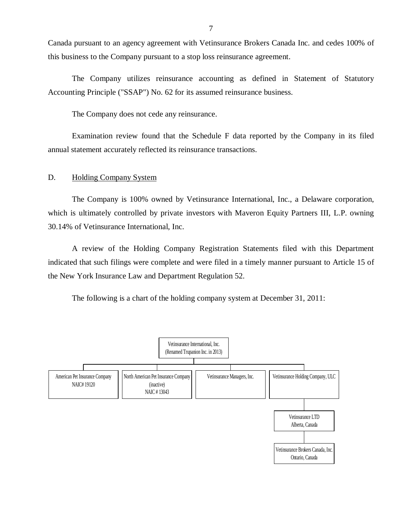<span id="page-8-0"></span>Canada pursuant to an agency agreement with Vetinsurance Brokers Canada Inc. and cedes 100% of this business to the Company pursuant to a stop loss reinsurance agreement.

The Company utilizes reinsurance accounting as defined in Statement of Statutory Accounting Principle ("SSAP") No. 62 for its assumed reinsurance business.

The Company does not cede any reinsurance.

Examination review found that the Schedule F data reported by the Company in its filed annual statement accurately reflected its reinsurance transactions.

## D. Holding Company System

The Company is 100% owned by Vetinsurance International, Inc., a Delaware corporation, which is ultimately controlled by private investors with Maveron Equity Partners III, L.P. owning 30.14% of Vetinsurance International, Inc.

A review of the Holding Company Registration Statements filed with this Department indicated that such filings were complete and were filed in a timely manner pursuant to Article 15 of the New York Insurance Law and Department Regulation 52.

The following is a chart of the holding company system at December 31, 2011:

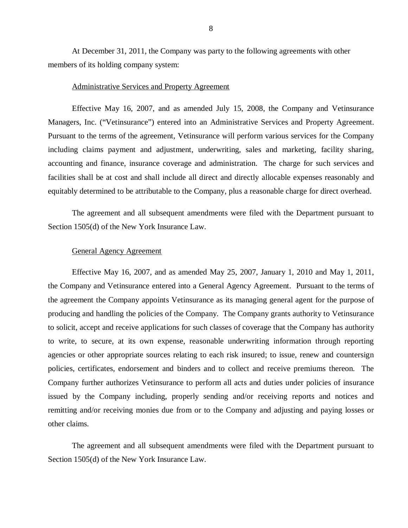At December 31, 2011, the Company was party to the following agreements with other members of its holding company system:

### Administrative Services and Property Agreement

Effective May 16, 2007, and as amended July 15, 2008, the Company and Vetinsurance Managers, Inc. ("Vetinsurance") entered into an Administrative Services and Property Agreement. Pursuant to the terms of the agreement, Vetinsurance will perform various services for the Company including claims payment and adjustment, underwriting, sales and marketing, facility sharing, accounting and finance, insurance coverage and administration. The charge for such services and facilities shall be at cost and shall include all direct and directly allocable expenses reasonably and equitably determined to be attributable to the Company, plus a reasonable charge for direct overhead.

The agreement and all subsequent amendments were filed with the Department pursuant to Section 1505(d) of the New York Insurance Law.

### General Agency Agreement

Effective May 16, 2007, and as amended May 25, 2007, January 1, 2010 and May 1, 2011, the Company and Vetinsurance entered into a General Agency Agreement. Pursuant to the terms of the agreement the Company appoints Vetinsurance as its managing general agent for the purpose of producing and handling the policies of the Company. The Company grants authority to Vetinsurance to solicit, accept and receive applications for such classes of coverage that the Company has authority to write, to secure, at its own expense, reasonable underwriting information through reporting agencies or other appropriate sources relating to each risk insured; to issue, renew and countersign policies, certificates, endorsement and binders and to collect and receive premiums thereon. The Company further authorizes Vetinsurance to perform all acts and duties under policies of insurance issued by the Company including, properly sending and/or receiving reports and notices and remitting and/or receiving monies due from or to the Company and adjusting and paying losses or other claims.

The agreement and all subsequent amendments were filed with the Department pursuant to Section 1505(d) of the New York Insurance Law.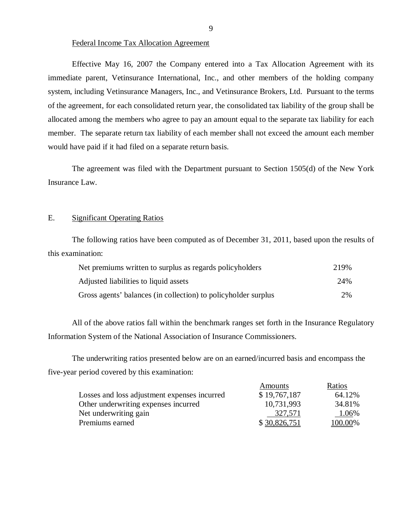## Federal Income Tax Allocation Agreement

Effective May 16, 2007 the Company entered into a Tax Allocation Agreement with its immediate parent, Vetinsurance International, Inc., and other members of the holding company system, including Vetinsurance Managers, Inc., and Vetinsurance Brokers, Ltd. Pursuant to the terms of the agreement, for each consolidated return year, the consolidated tax liability of the group shall be allocated among the members who agree to pay an amount equal to the separate tax liability for each member. The separate return tax liability of each member shall not exceed the amount each member would have paid if it had filed on a separate return basis.

The agreement was filed with the Department pursuant to Section 1505(d) of the New York Insurance Law.

## E. Significant Operating Ratios

The following ratios have been computed as of December 31, 2011, based upon the results of this examination:

| Net premiums written to surplus as regards policyholders       | 219% |
|----------------------------------------------------------------|------|
| Adjusted liabilities to liquid assets                          | 24%  |
| Gross agents' balances (in collection) to policyholder surplus | 2%   |

All of the above ratios fall within the benchmark ranges set forth in the Insurance Regulatory Information System of the National Association of Insurance Commissioners.

The underwriting ratios presented below are on an earned/incurred basis and encompass the five-year period covered by this examination:

|                                              | Amounts      | Ratios  |
|----------------------------------------------|--------------|---------|
| Losses and loss adjustment expenses incurred | \$19,767,187 | 64.12%  |
| Other underwriting expenses incurred         | 10,731,993   | 34.81%  |
| Net underwriting gain                        | 327,571      | 1.06%   |
| Premiums earned                              | \$30,826,751 | 100.00% |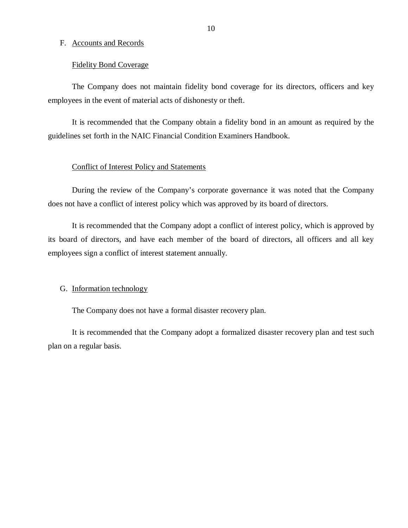#### <span id="page-11-0"></span>F. Accounts and Records

#### Fidelity Bond Coverage

The Company does not maintain fidelity bond coverage for its directors, officers and key employees in the event of material acts of dishonesty or theft.

It is recommended that the Company obtain a fidelity bond in an amount as required by the guidelines set forth in the NAIC Financial Condition Examiners Handbook.

### Conflict of Interest Policy and Statements

During the review of the Company's corporate governance it was noted that the Company does not have a conflict of interest policy which was approved by its board of directors.

It is recommended that the Company adopt a conflict of interest policy, which is approved by its board of directors, and have each member of the board of directors, all officers and all key employees sign a conflict of interest statement annually.

#### G. Information technology

The Company does not have a formal disaster recovery plan.

It is recommended that the Company adopt a formalized disaster recovery plan and test such plan on a regular basis.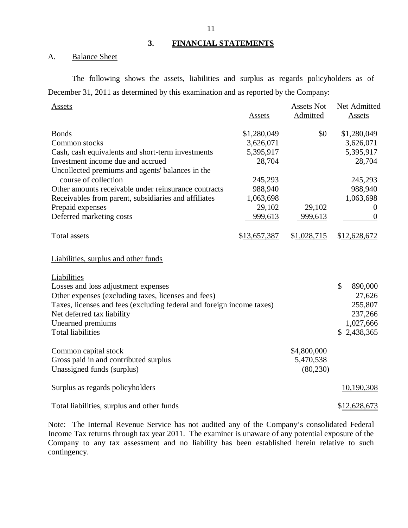## **3. FINANCIAL STATEMENTS**

## A. Balance Sheet

The following shows the assets, liabilities and surplus as regards policyholders as of December 31, 2011 as determined by this examination and as reported by the Company:

| Assets                                                                |              | <b>Assets Not</b> | Net Admitted     |
|-----------------------------------------------------------------------|--------------|-------------------|------------------|
|                                                                       | Assets       | Admitted          | Assets           |
| <b>Bonds</b>                                                          | \$1,280,049  | \$0               | \$1,280,049      |
| Common stocks                                                         | 3,626,071    |                   | 3,626,071        |
| Cash, cash equivalents and short-term investments                     | 5,395,917    |                   | 5,395,917        |
| Investment income due and accrued                                     | 28,704       |                   | 28,704           |
| Uncollected premiums and agents' balances in the                      |              |                   |                  |
| course of collection                                                  | 245,293      |                   | 245,293          |
| Other amounts receivable under reinsurance contracts                  | 988,940      |                   | 988,940          |
| Receivables from parent, subsidiaries and affiliates                  | 1,063,698    |                   | 1,063,698        |
| Prepaid expenses                                                      | 29,102       | 29,102            | $\theta$         |
| Deferred marketing costs                                              | 999,613      | 999,613           | $\boldsymbol{0}$ |
| <b>Total assets</b>                                                   | \$13,657,387 | \$1,028,715       | \$12,628,672     |
| Liabilities, surplus and other funds                                  |              |                   |                  |
| Liabilities<br>Losses and loss adjustment expenses                    |              |                   | \$<br>890,000    |
| Other expenses (excluding taxes, licenses and fees)                   |              |                   | 27,626           |
| Taxes, licenses and fees (excluding federal and foreign income taxes) |              |                   | 255,807          |
| Net deferred tax liability                                            |              |                   | 237,266          |
| Unearned premiums                                                     |              |                   | 1,027,666        |
| <b>Total liabilities</b>                                              |              |                   | 2,438,365<br>\$  |
|                                                                       |              |                   |                  |
| Common capital stock                                                  |              | \$4,800,000       |                  |
| Gross paid in and contributed surplus                                 |              | 5,470,538         |                  |
| Unassigned funds (surplus)                                            |              | (80, 230)         |                  |
| Surplus as regards policyholders                                      |              |                   | 10,190,308       |
| Total liabilities, surplus and other funds                            |              |                   | \$12,628,673     |

Note: The Internal Revenue Service has not audited any of the Company's consolidated Federal Income Tax returns through tax year 2011. The examiner is unaware of any potential exposure of the Company to any tax assessment and no liability has been established herein relative to such contingency.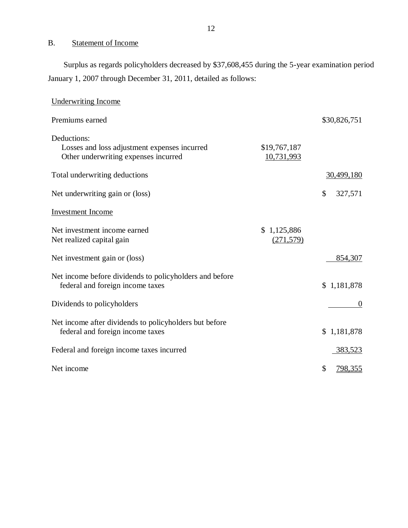## B. Statement of Income

Surplus as regards policyholders decreased by \$37,608,455 during the 5-year examination period January 1, 2007 through December 31, 2011, detailed as follows:

| <b>Underwriting Income</b>                                                                          |                            |                      |
|-----------------------------------------------------------------------------------------------------|----------------------------|----------------------|
| Premiums earned                                                                                     |                            | \$30,826,751         |
| Deductions:<br>Losses and loss adjustment expenses incurred<br>Other underwriting expenses incurred | \$19,767,187<br>10,731,993 |                      |
| Total underwriting deductions                                                                       |                            | 30,499,180           |
| Net underwriting gain or (loss)                                                                     |                            | \$<br>327,571        |
| <b>Investment</b> Income                                                                            |                            |                      |
| Net investment income earned<br>Net realized capital gain                                           | \$1,125,886<br>(271, 579)  |                      |
| Net investment gain or (loss)                                                                       |                            | 854,307              |
| Net income before dividends to policyholders and before<br>federal and foreign income taxes         |                            | \$1,181,878          |
| Dividends to policyholders                                                                          |                            | $\Omega$             |
| Net income after dividends to policyholders but before<br>federal and foreign income taxes          |                            | \$1,181,878          |
| Federal and foreign income taxes incurred                                                           |                            | 383,523              |
| Net income                                                                                          |                            | \$<br><u>798,355</u> |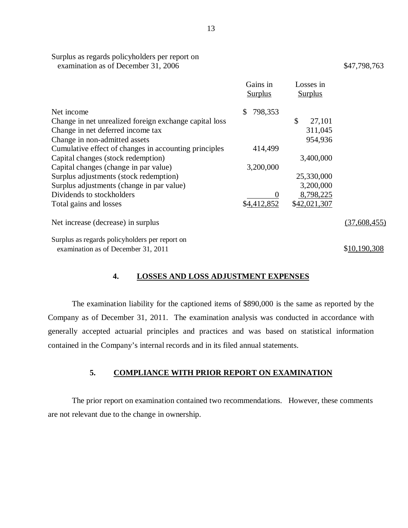| Surplus as regards policyholders per report on |              |
|------------------------------------------------|--------------|
| examination as of December 31, 2006            | \$47,798,763 |

|                                                        | Gains in<br><b>Surplus</b> | Losses in<br><b>Surplus</b> |              |
|--------------------------------------------------------|----------------------------|-----------------------------|--------------|
| Net income                                             | 798,353<br><sup>\$</sup>   |                             |              |
| Change in net unrealized foreign exchange capital loss |                            | \$<br>27,101                |              |
| Change in net deferred income tax                      |                            | 311,045                     |              |
| Change in non-admitted assets                          |                            | 954,936                     |              |
| Cumulative effect of changes in accounting principles  | 414,499                    |                             |              |
| Capital changes (stock redemption)                     |                            | 3,400,000                   |              |
| Capital changes (change in par value)                  | 3,200,000                  |                             |              |
| Surplus adjustments (stock redemption)                 |                            | 25,330,000                  |              |
| Surplus adjustments (change in par value)              |                            | 3,200,000                   |              |
| Dividends to stockholders                              | 0                          | 8,798,225                   |              |
| Total gains and losses                                 | \$4,412,852                | \$42,021,307                |              |
| Net increase (decrease) in surplus                     |                            |                             | (37,608,455) |
| Surplus as regards policyholders per report on         |                            |                             |              |
| examination as of December 31, 2011                    |                            |                             | \$10,190,308 |

## **4. LOSSES AND LOSS ADJUSTMENT EXPENSES**

The examination liability for the captioned items of \$890,000 is the same as reported by the Company as of December 31, 2011. The examination analysis was conducted in accordance with generally accepted actuarial principles and practices and was based on statistical information contained in the Company's internal records and in its filed annual statements.

## **5. COMPLIANCE WITH PRIOR REPORT ON EXAMINATION**

The prior report on examination contained two recommendations. However, these comments are not relevant due to the change in ownership.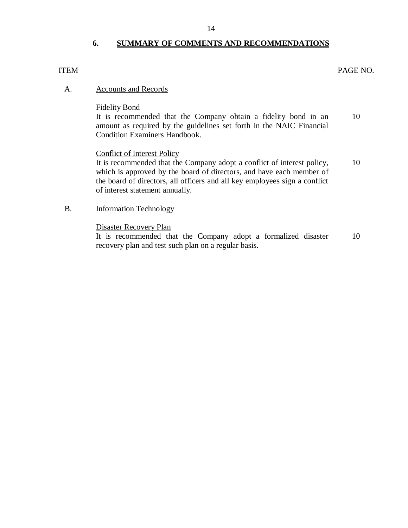## **6. SUMMARY OF COMMENTS AND RECOMMENDATIONS**

## ITEM PAGE NO.

## A. Accounts and Records

## Fidelity Bond

It is recommended that the Company obtain a fidelity bond in an 10 amount as required by the guidelines set forth in the NAIC Financial Condition Examiners Handbook.

## Conflict of Interest Policy

It is recommended that the Company adopt a conflict of interest policy,  $10$ which is approved by the board of directors, and have each member of the board of directors, all officers and all key employees sign a conflict of interest statement annually.

## B. Information Technology

## Disaster Recovery Plan

It is recommended that the Company adopt a formalized disaster 10 recovery plan and test such plan on a regular basis.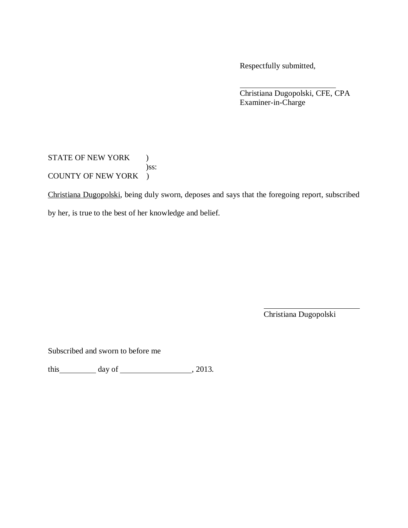Respectfully submitted,

Christiana Dugopolski, CFE, CPA Examiner-in-Charge

STATE OF NEW YORK ) )ss: COUNTY OF NEW YORK )

Christiana Dugopolski, being duly sworn, deposes and says that the foregoing report, subscribed by her, is true to the best of her knowledge and belief.

Christiana Dugopolski

Subscribed and sworn to before me

this  $\_\_\_\_\$  day of  $\_\_\_\_\_\_\$  , 2013.